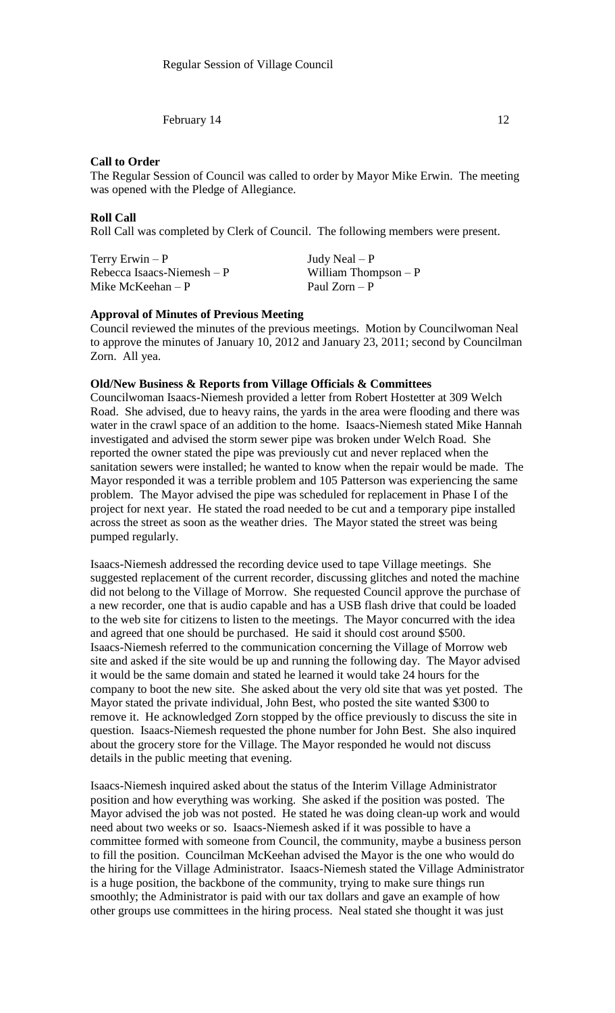## **Call to Order**

The Regular Session of Council was called to order by Mayor Mike Erwin. The meeting was opened with the Pledge of Allegiance.

### **Roll Call**

Roll Call was completed by Clerk of Council. The following members were present.

| Terry Erwin $-P$            |  |
|-----------------------------|--|
| Rebecca Isaacs-Niemesh $-P$ |  |
| Mike McKeehan $-P$          |  |

Judy Neal –  $P$ William Thompson –  $P$ Paul Zorn – P

# **Approval of Minutes of Previous Meeting**

Council reviewed the minutes of the previous meetings. Motion by Councilwoman Neal to approve the minutes of January 10, 2012 and January 23, 2011; second by Councilman Zorn. All yea.

### **Old/New Business & Reports from Village Officials & Committees**

Councilwoman Isaacs-Niemesh provided a letter from Robert Hostetter at 309 Welch Road. She advised, due to heavy rains, the yards in the area were flooding and there was water in the crawl space of an addition to the home. Isaacs-Niemesh stated Mike Hannah investigated and advised the storm sewer pipe was broken under Welch Road. She reported the owner stated the pipe was previously cut and never replaced when the sanitation sewers were installed; he wanted to know when the repair would be made. The Mayor responded it was a terrible problem and 105 Patterson was experiencing the same problem. The Mayor advised the pipe was scheduled for replacement in Phase I of the project for next year. He stated the road needed to be cut and a temporary pipe installed across the street as soon as the weather dries. The Mayor stated the street was being pumped regularly.

Isaacs-Niemesh addressed the recording device used to tape Village meetings. She suggested replacement of the current recorder, discussing glitches and noted the machine did not belong to the Village of Morrow. She requested Council approve the purchase of a new recorder, one that is audio capable and has a USB flash drive that could be loaded to the web site for citizens to listen to the meetings. The Mayor concurred with the idea and agreed that one should be purchased. He said it should cost around \$500. Isaacs-Niemesh referred to the communication concerning the Village of Morrow web site and asked if the site would be up and running the following day. The Mayor advised it would be the same domain and stated he learned it would take 24 hours for the company to boot the new site. She asked about the very old site that was yet posted. The Mayor stated the private individual, John Best, who posted the site wanted \$300 to remove it. He acknowledged Zorn stopped by the office previously to discuss the site in question. Isaacs-Niemesh requested the phone number for John Best. She also inquired about the grocery store for the Village. The Mayor responded he would not discuss details in the public meeting that evening.

Isaacs-Niemesh inquired asked about the status of the Interim Village Administrator position and how everything was working. She asked if the position was posted. The Mayor advised the job was not posted. He stated he was doing clean-up work and would need about two weeks or so. Isaacs-Niemesh asked if it was possible to have a committee formed with someone from Council, the community, maybe a business person to fill the position. Councilman McKeehan advised the Mayor is the one who would do the hiring for the Village Administrator. Isaacs-Niemesh stated the Village Administrator is a huge position, the backbone of the community, trying to make sure things run smoothly; the Administrator is paid with our tax dollars and gave an example of how other groups use committees in the hiring process. Neal stated she thought it was just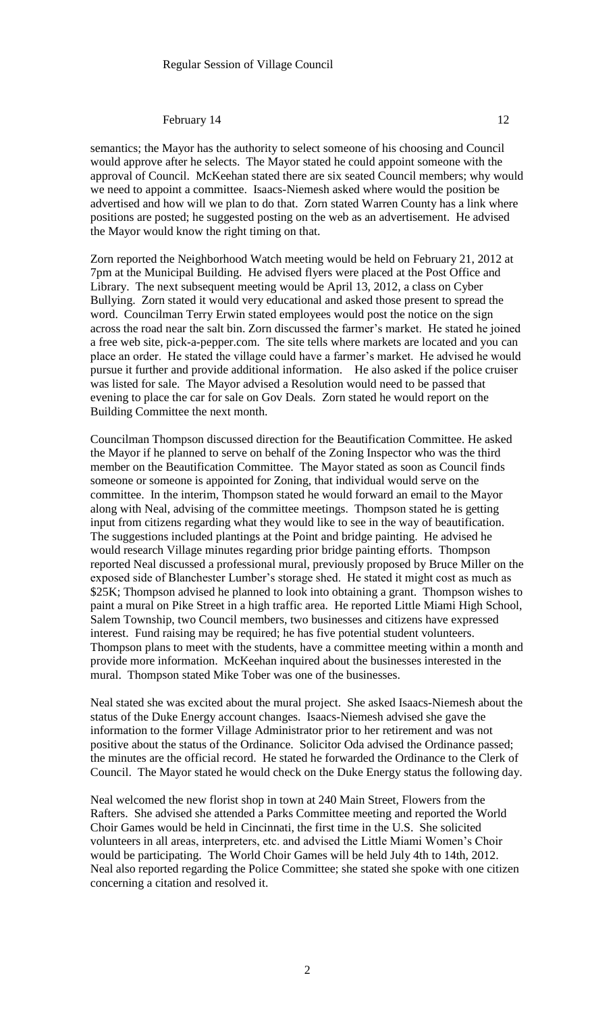semantics; the Mayor has the authority to select someone of his choosing and Council would approve after he selects. The Mayor stated he could appoint someone with the approval of Council. McKeehan stated there are six seated Council members; why would we need to appoint a committee. Isaacs-Niemesh asked where would the position be advertised and how will we plan to do that. Zorn stated Warren County has a link where positions are posted; he suggested posting on the web as an advertisement. He advised the Mayor would know the right timing on that.

Zorn reported the Neighborhood Watch meeting would be held on February 21, 2012 at 7pm at the Municipal Building. He advised flyers were placed at the Post Office and Library. The next subsequent meeting would be April 13, 2012, a class on Cyber Bullying. Zorn stated it would very educational and asked those present to spread the word. Councilman Terry Erwin stated employees would post the notice on the sign across the road near the salt bin. Zorn discussed the farmer's market. He stated he joined a free web site, pick-a-pepper.com. The site tells where markets are located and you can place an order. He stated the village could have a farmer's market. He advised he would pursue it further and provide additional information. He also asked if the police cruiser was listed for sale. The Mayor advised a Resolution would need to be passed that evening to place the car for sale on Gov Deals. Zorn stated he would report on the Building Committee the next month.

Councilman Thompson discussed direction for the Beautification Committee. He asked the Mayor if he planned to serve on behalf of the Zoning Inspector who was the third member on the Beautification Committee. The Mayor stated as soon as Council finds someone or someone is appointed for Zoning, that individual would serve on the committee. In the interim, Thompson stated he would forward an email to the Mayor along with Neal, advising of the committee meetings. Thompson stated he is getting input from citizens regarding what they would like to see in the way of beautification. The suggestions included plantings at the Point and bridge painting. He advised he would research Village minutes regarding prior bridge painting efforts. Thompson reported Neal discussed a professional mural, previously proposed by Bruce Miller on the exposed side of Blanchester Lumber's storage shed. He stated it might cost as much as \$25K; Thompson advised he planned to look into obtaining a grant. Thompson wishes to paint a mural on Pike Street in a high traffic area. He reported Little Miami High School, Salem Township, two Council members, two businesses and citizens have expressed interest. Fund raising may be required; he has five potential student volunteers. Thompson plans to meet with the students, have a committee meeting within a month and provide more information. McKeehan inquired about the businesses interested in the mural. Thompson stated Mike Tober was one of the businesses.

Neal stated she was excited about the mural project. She asked Isaacs-Niemesh about the status of the Duke Energy account changes. Isaacs-Niemesh advised she gave the information to the former Village Administrator prior to her retirement and was not positive about the status of the Ordinance. Solicitor Oda advised the Ordinance passed; the minutes are the official record. He stated he forwarded the Ordinance to the Clerk of Council. The Mayor stated he would check on the Duke Energy status the following day.

Neal welcomed the new florist shop in town at 240 Main Street, Flowers from the Rafters. She advised she attended a Parks Committee meeting and reported the World Choir Games would be held in Cincinnati, the first time in the U.S. She solicited volunteers in all areas, interpreters, etc. and advised the Little Miami Women's Choir would be participating. The World Choir Games will be held July 4th to 14th, 2012. Neal also reported regarding the Police Committee; she stated she spoke with one citizen concerning a citation and resolved it.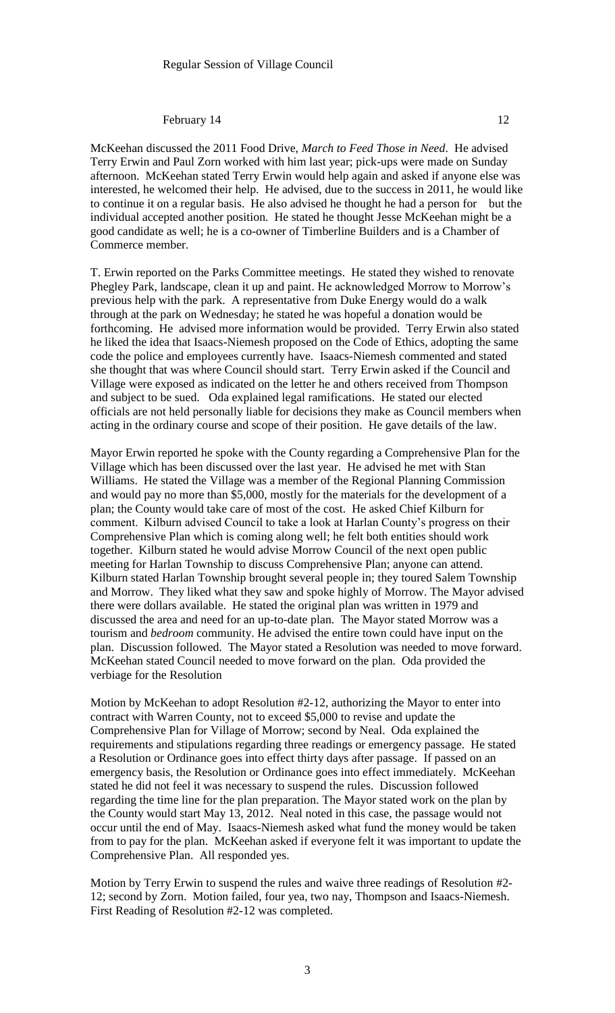McKeehan discussed the 2011 Food Drive, *March to Feed Those in Need*. He advised Terry Erwin and Paul Zorn worked with him last year; pick-ups were made on Sunday afternoon. McKeehan stated Terry Erwin would help again and asked if anyone else was interested, he welcomed their help. He advised, due to the success in 2011, he would like to continue it on a regular basis. He also advised he thought he had a person for but the individual accepted another position. He stated he thought Jesse McKeehan might be a good candidate as well; he is a co-owner of Timberline Builders and is a Chamber of Commerce member.

T. Erwin reported on the Parks Committee meetings. He stated they wished to renovate Phegley Park, landscape, clean it up and paint. He acknowledged Morrow to Morrow's previous help with the park. A representative from Duke Energy would do a walk through at the park on Wednesday; he stated he was hopeful a donation would be forthcoming. He advised more information would be provided. Terry Erwin also stated he liked the idea that Isaacs-Niemesh proposed on the Code of Ethics, adopting the same code the police and employees currently have. Isaacs-Niemesh commented and stated she thought that was where Council should start. Terry Erwin asked if the Council and Village were exposed as indicated on the letter he and others received from Thompson and subject to be sued. Oda explained legal ramifications. He stated our elected officials are not held personally liable for decisions they make as Council members when acting in the ordinary course and scope of their position. He gave details of the law.

Mayor Erwin reported he spoke with the County regarding a Comprehensive Plan for the Village which has been discussed over the last year. He advised he met with Stan Williams. He stated the Village was a member of the Regional Planning Commission and would pay no more than \$5,000, mostly for the materials for the development of a plan; the County would take care of most of the cost. He asked Chief Kilburn for comment. Kilburn advised Council to take a look at Harlan County's progress on their Comprehensive Plan which is coming along well; he felt both entities should work together. Kilburn stated he would advise Morrow Council of the next open public meeting for Harlan Township to discuss Comprehensive Plan; anyone can attend. Kilburn stated Harlan Township brought several people in; they toured Salem Township and Morrow. They liked what they saw and spoke highly of Morrow. The Mayor advised there were dollars available. He stated the original plan was written in 1979 and discussed the area and need for an up-to-date plan. The Mayor stated Morrow was a tourism and *bedroom* community. He advised the entire town could have input on the plan. Discussion followed. The Mayor stated a Resolution was needed to move forward. McKeehan stated Council needed to move forward on the plan. Oda provided the verbiage for the Resolution

Motion by McKeehan to adopt Resolution #2-12, authorizing the Mayor to enter into contract with Warren County, not to exceed \$5,000 to revise and update the Comprehensive Plan for Village of Morrow; second by Neal. Oda explained the requirements and stipulations regarding three readings or emergency passage. He stated a Resolution or Ordinance goes into effect thirty days after passage. If passed on an emergency basis, the Resolution or Ordinance goes into effect immediately. McKeehan stated he did not feel it was necessary to suspend the rules. Discussion followed regarding the time line for the plan preparation. The Mayor stated work on the plan by the County would start May 13, 2012. Neal noted in this case, the passage would not occur until the end of May. Isaacs-Niemesh asked what fund the money would be taken from to pay for the plan. McKeehan asked if everyone felt it was important to update the Comprehensive Plan. All responded yes.

Motion by Terry Erwin to suspend the rules and waive three readings of Resolution #2- 12; second by Zorn. Motion failed, four yea, two nay, Thompson and Isaacs-Niemesh. First Reading of Resolution #2-12 was completed.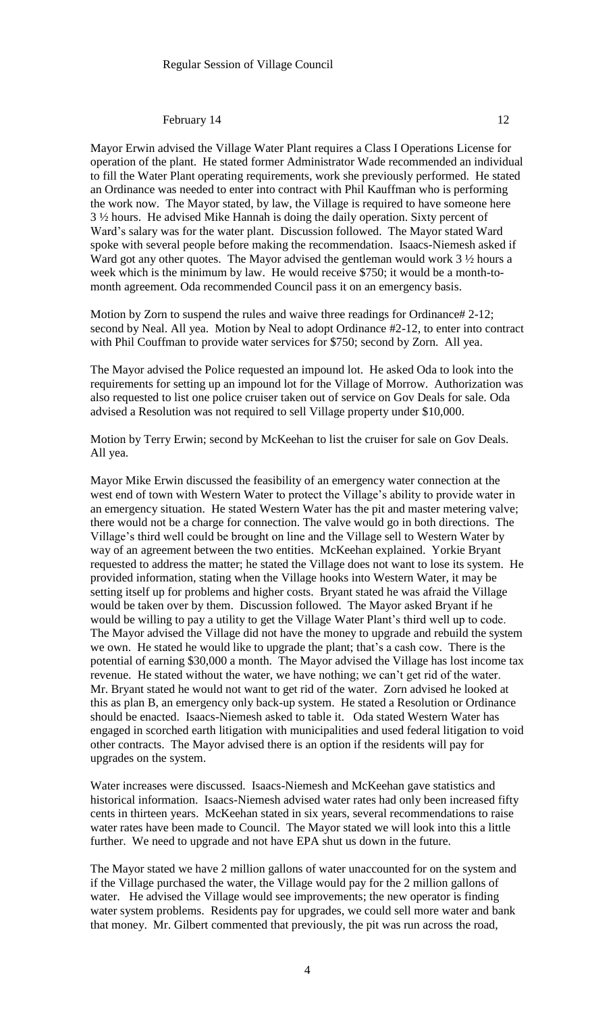Mayor Erwin advised the Village Water Plant requires a Class I Operations License for operation of the plant. He stated former Administrator Wade recommended an individual to fill the Water Plant operating requirements, work she previously performed. He stated an Ordinance was needed to enter into contract with Phil Kauffman who is performing the work now. The Mayor stated, by law, the Village is required to have someone here 3 ½ hours. He advised Mike Hannah is doing the daily operation. Sixty percent of Ward's salary was for the water plant. Discussion followed. The Mayor stated Ward spoke with several people before making the recommendation. Isaacs-Niemesh asked if Ward got any other quotes. The Mayor advised the gentleman would work 3  $\frac{1}{2}$  hours a week which is the minimum by law. He would receive \$750; it would be a month-tomonth agreement. Oda recommended Council pass it on an emergency basis.

Motion by Zorn to suspend the rules and waive three readings for Ordinance# 2-12; second by Neal. All yea. Motion by Neal to adopt Ordinance #2-12, to enter into contract with Phil Couffman to provide water services for \$750; second by Zorn. All yea.

The Mayor advised the Police requested an impound lot. He asked Oda to look into the requirements for setting up an impound lot for the Village of Morrow. Authorization was also requested to list one police cruiser taken out of service on Gov Deals for sale. Oda advised a Resolution was not required to sell Village property under \$10,000.

Motion by Terry Erwin; second by McKeehan to list the cruiser for sale on Gov Deals. All yea.

Mayor Mike Erwin discussed the feasibility of an emergency water connection at the west end of town with Western Water to protect the Village's ability to provide water in an emergency situation. He stated Western Water has the pit and master metering valve; there would not be a charge for connection. The valve would go in both directions. The Village's third well could be brought on line and the Village sell to Western Water by way of an agreement between the two entities. McKeehan explained. Yorkie Bryant requested to address the matter; he stated the Village does not want to lose its system. He provided information, stating when the Village hooks into Western Water, it may be setting itself up for problems and higher costs. Bryant stated he was afraid the Village would be taken over by them. Discussion followed. The Mayor asked Bryant if he would be willing to pay a utility to get the Village Water Plant's third well up to code. The Mayor advised the Village did not have the money to upgrade and rebuild the system we own. He stated he would like to upgrade the plant; that's a cash cow. There is the potential of earning \$30,000 a month. The Mayor advised the Village has lost income tax revenue. He stated without the water, we have nothing; we can't get rid of the water. Mr. Bryant stated he would not want to get rid of the water. Zorn advised he looked at this as plan B, an emergency only back-up system. He stated a Resolution or Ordinance should be enacted. Isaacs-Niemesh asked to table it. Oda stated Western Water has engaged in scorched earth litigation with municipalities and used federal litigation to void other contracts. The Mayor advised there is an option if the residents will pay for upgrades on the system.

Water increases were discussed. Isaacs-Niemesh and McKeehan gave statistics and historical information. Isaacs-Niemesh advised water rates had only been increased fifty cents in thirteen years. McKeehan stated in six years, several recommendations to raise water rates have been made to Council. The Mayor stated we will look into this a little further. We need to upgrade and not have EPA shut us down in the future.

The Mayor stated we have 2 million gallons of water unaccounted for on the system and if the Village purchased the water, the Village would pay for the 2 million gallons of water. He advised the Village would see improvements; the new operator is finding water system problems. Residents pay for upgrades, we could sell more water and bank that money. Mr. Gilbert commented that previously, the pit was run across the road,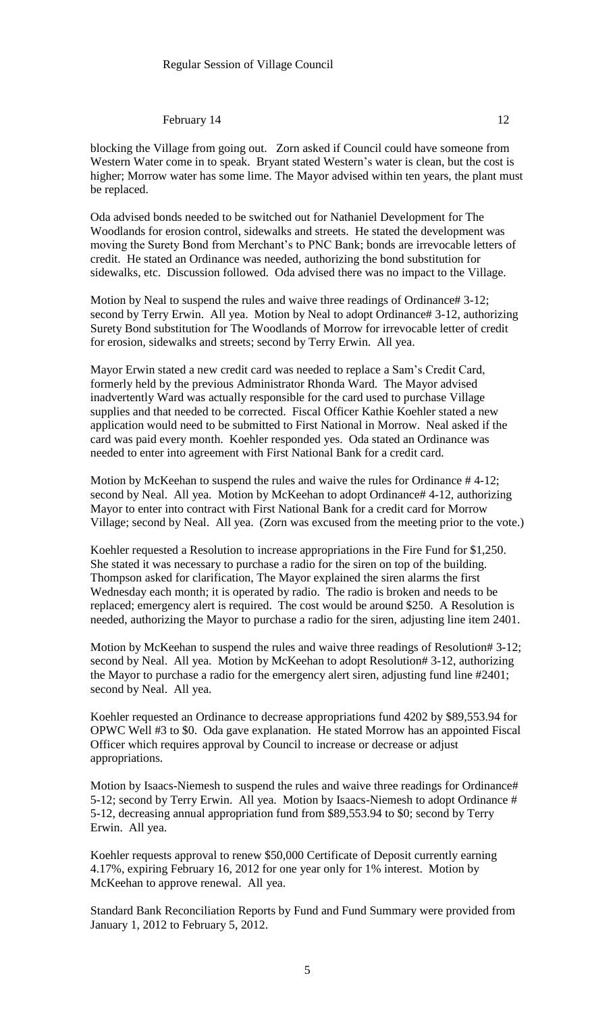blocking the Village from going out. Zorn asked if Council could have someone from Western Water come in to speak. Bryant stated Western's water is clean, but the cost is higher; Morrow water has some lime. The Mayor advised within ten years, the plant must be replaced.

Oda advised bonds needed to be switched out for Nathaniel Development for The Woodlands for erosion control, sidewalks and streets. He stated the development was moving the Surety Bond from Merchant's to PNC Bank; bonds are irrevocable letters of credit. He stated an Ordinance was needed, authorizing the bond substitution for sidewalks, etc. Discussion followed. Oda advised there was no impact to the Village.

Motion by Neal to suspend the rules and waive three readings of Ordinance# 3-12; second by Terry Erwin. All yea. Motion by Neal to adopt Ordinance# 3-12, authorizing Surety Bond substitution for The Woodlands of Morrow for irrevocable letter of credit for erosion, sidewalks and streets; second by Terry Erwin. All yea.

Mayor Erwin stated a new credit card was needed to replace a Sam's Credit Card, formerly held by the previous Administrator Rhonda Ward. The Mayor advised inadvertently Ward was actually responsible for the card used to purchase Village supplies and that needed to be corrected. Fiscal Officer Kathie Koehler stated a new application would need to be submitted to First National in Morrow. Neal asked if the card was paid every month. Koehler responded yes. Oda stated an Ordinance was needed to enter into agreement with First National Bank for a credit card.

Motion by McKeehan to suspend the rules and waive the rules for Ordinance # 4-12; second by Neal. All yea. Motion by McKeehan to adopt Ordinance# 4-12, authorizing Mayor to enter into contract with First National Bank for a credit card for Morrow Village; second by Neal. All yea. (Zorn was excused from the meeting prior to the vote.)

Koehler requested a Resolution to increase appropriations in the Fire Fund for \$1,250. She stated it was necessary to purchase a radio for the siren on top of the building. Thompson asked for clarification, The Mayor explained the siren alarms the first Wednesday each month; it is operated by radio. The radio is broken and needs to be replaced; emergency alert is required. The cost would be around \$250. A Resolution is needed, authorizing the Mayor to purchase a radio for the siren, adjusting line item 2401.

Motion by McKeehan to suspend the rules and waive three readings of Resolution# 3-12; second by Neal. All yea. Motion by McKeehan to adopt Resolution# 3-12, authorizing the Mayor to purchase a radio for the emergency alert siren, adjusting fund line #2401; second by Neal. All yea.

Koehler requested an Ordinance to decrease appropriations fund 4202 by \$89,553.94 for OPWC Well #3 to \$0. Oda gave explanation. He stated Morrow has an appointed Fiscal Officer which requires approval by Council to increase or decrease or adjust appropriations.

Motion by Isaacs-Niemesh to suspend the rules and waive three readings for Ordinance# 5-12; second by Terry Erwin. All yea. Motion by Isaacs-Niemesh to adopt Ordinance # 5-12, decreasing annual appropriation fund from \$89,553.94 to \$0; second by Terry Erwin. All yea.

Koehler requests approval to renew \$50,000 Certificate of Deposit currently earning 4.17%, expiring February 16, 2012 for one year only for 1% interest. Motion by McKeehan to approve renewal. All yea.

Standard Bank Reconciliation Reports by Fund and Fund Summary were provided from January 1, 2012 to February 5, 2012.